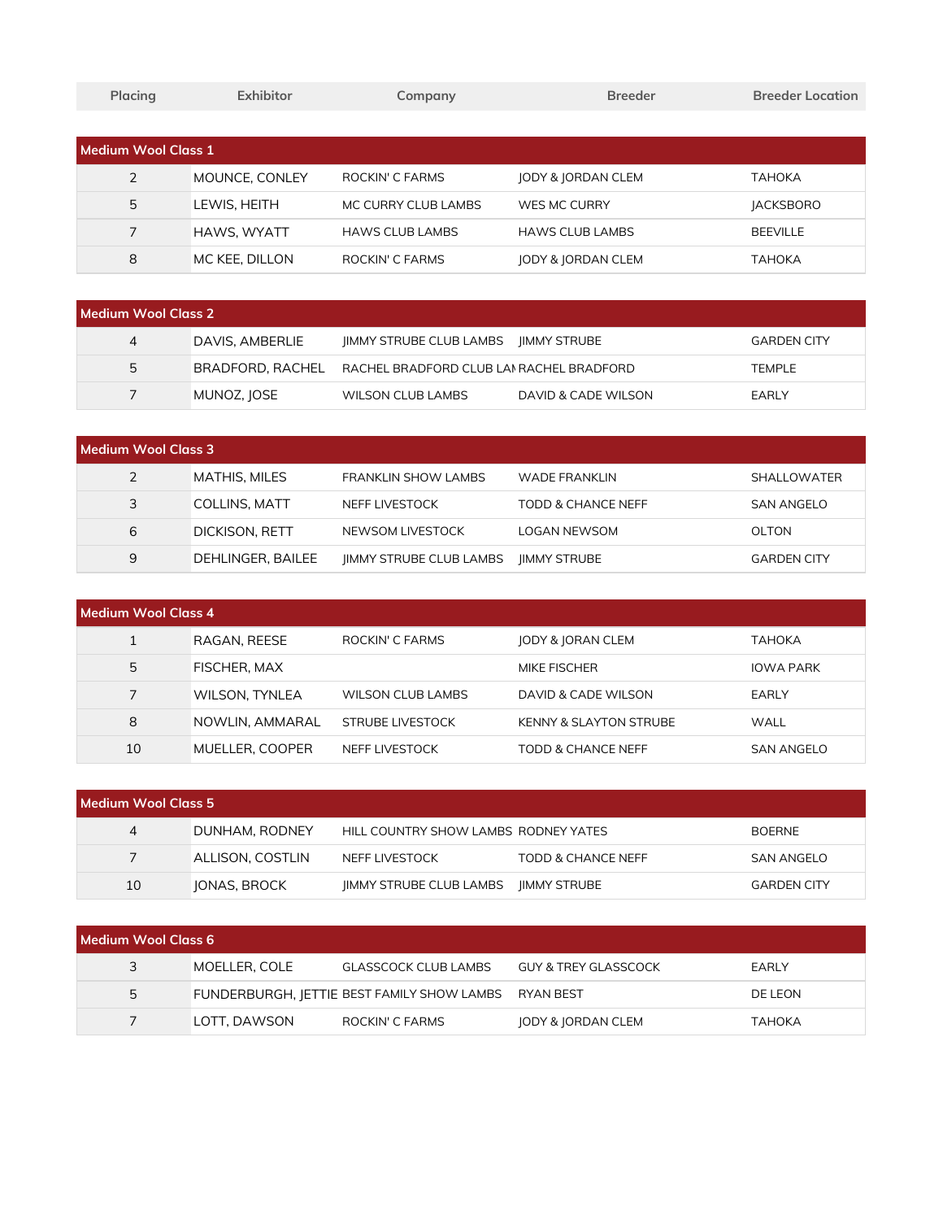| Placing             | Exhibitor      | Company                | <b>Breeder</b>                | <b>Breeder Location</b> |
|---------------------|----------------|------------------------|-------------------------------|-------------------------|
|                     |                |                        |                               |                         |
| Medium Wool Class 1 |                |                        |                               |                         |
| $\overline{2}$      | MOUNCE, CONLEY | ROCKIN' C FARMS        | <b>JODY &amp; JORDAN CLEM</b> | <b>TAHOKA</b>           |
| 5                   | LEWIS, HEITH   | MC CURRY CLUB LAMBS    | WES MC CURRY                  | <b>JACKSBORO</b>        |
| 7                   | HAWS, WYATT    | <b>HAWS CLUB LAMBS</b> | <b>HAWS CLUB LAMBS</b>        | <b>BEEVILLE</b>         |
| 8                   | MC KEE, DILLON | ROCKIN' C FARMS        | <b>JODY &amp; JORDAN CLEM</b> | ТАНОКА                  |

| Medium Wool Class 2 |                  |                                             |                     |                    |
|---------------------|------------------|---------------------------------------------|---------------------|--------------------|
| 4                   | DAVIS, AMBERLIE  | <b>IIMMY STRUBE CLUB LAMBS IIMMY STRUBE</b> |                     | <b>GARDEN CITY</b> |
| 5                   | BRADFORD. RACHEL | RACHEL BRADFORD CLUB LAI RACHEL BRADFORD    |                     | <b>TEMPLE</b>      |
|                     | MUNOZ, JOSE      | WILSON CLUB LAMBS                           | DAVID & CADE WILSON | EARLY              |

| Medium Wool Class 3 |                      |                                |                      |                    |  |
|---------------------|----------------------|--------------------------------|----------------------|--------------------|--|
|                     | <b>MATHIS, MILES</b> | <b>FRANKLIN SHOW LAMBS</b>     | <b>WADE FRANKLIN</b> | <b>SHALLOWATER</b> |  |
| 3                   | COLLINS, MATT        | NEFF LIVESTOCK                 | TODD & CHANCE NEFF   | SAN ANGELO         |  |
| 6                   | DICKISON, RETT       | NEWSOM LIVESTOCK               | LOGAN NEWSOM         | OLTON              |  |
| 9                   | DEHLINGER, BAILEE    | <b>IIMMY STRUBE CLUB LAMBS</b> | <b>IIMMY STRUBE</b>  | <b>GARDEN CITY</b> |  |

| Medium Wool Class 4 |                       |                          |                                   |                  |  |
|---------------------|-----------------------|--------------------------|-----------------------------------|------------------|--|
|                     | RAGAN, REESE          | ROCKIN' C FARMS          | JODY & JORAN CLEM                 | ТАНОКА           |  |
| 5                   | <b>FISCHER, MAX</b>   |                          | MIKE FISCHER                      | <b>IOWA PARK</b> |  |
|                     | <b>WILSON, TYNLEA</b> | <b>WILSON CLUB LAMBS</b> | DAVID & CADE WILSON               | EARLY            |  |
| 8                   | NOWLIN, AMMARAL       | STRUBE LIVESTOCK         | <b>KENNY &amp; SLAYTON STRUBE</b> | WALL             |  |
| 10                  | MUELLER, COOPER       | NEFF LIVESTOCK           | TODD & CHANCE NEFF                | SAN ANGELO       |  |

| Medium Wool Class 5 |                  |                                      |                     |                    |  |
|---------------------|------------------|--------------------------------------|---------------------|--------------------|--|
| 4                   | DUNHAM, RODNEY   | HILL COUNTRY SHOW LAMBS RODNEY YATES |                     | <b>BOERNE</b>      |  |
|                     | ALLISON. COSTLIN | NEFF LIVESTOCK                       | TODD & CHANCE NEFF  | <b>SAN ANGELO</b>  |  |
| 10                  | JONAS, BROCK     | <b>IIMMY STRUBE CLUB LAMBS</b>       | <b>IIMMY STRUBE</b> | <b>GARDEN CITY</b> |  |

| Medium Wool Class 6 |               |                                                      |                      |                |  |
|---------------------|---------------|------------------------------------------------------|----------------------|----------------|--|
|                     | MOELLER. COLE | GLASSCOCK CLUB LAMBS                                 | GUY & TREY GLASSCOCK | EARLY          |  |
| 5                   |               | FUNDERBURGH, JETTIE BEST FAMILY SHOW LAMBS RYAN BEST |                      | <b>DE LEON</b> |  |
|                     | LOTT. DAWSON  | ROCKIN' C FARMS                                      | JODY & JORDAN CLEM   | ТАНОКА         |  |